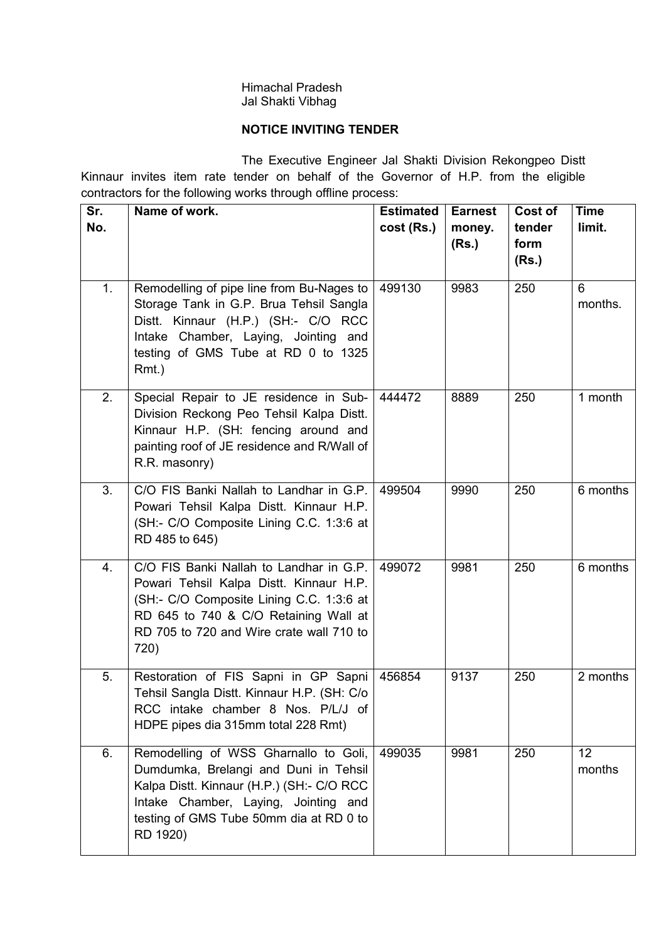### Himachal Pradesh Jal Shakti Vibhag

# NOTICE INVITING TENDER

 The Executive Engineer Jal Shakti Division Rekongpeo Distt Kinnaur invites item rate tender on behalf of the Governor of H.P. from the eligible contractors for the following works through offline process:

| Sr.<br>No. | Name of work.                                                                                                                                                                                                               | <b>Estimated</b><br>cost (Rs.) | <b>Earnest</b><br>money.<br>(Rs.) | Cost of<br>tender<br>form<br>(Rs.) | <b>Time</b><br>limit. |
|------------|-----------------------------------------------------------------------------------------------------------------------------------------------------------------------------------------------------------------------------|--------------------------------|-----------------------------------|------------------------------------|-----------------------|
| 1.         | Remodelling of pipe line from Bu-Nages to<br>Storage Tank in G.P. Brua Tehsil Sangla<br>Distt. Kinnaur (H.P.) (SH:- C/O RCC<br>Intake Chamber, Laying, Jointing and<br>testing of GMS Tube at RD 0 to 1325<br>Rmt.)         | 499130                         | 9983                              | 250                                | 6<br>months.          |
| 2.         | Special Repair to JE residence in Sub-<br>Division Reckong Peo Tehsil Kalpa Distt.<br>Kinnaur H.P. (SH: fencing around and<br>painting roof of JE residence and R/Wall of<br>R.R. masonry)                                  | 444472                         | 8889                              | 250                                | 1 month               |
| 3.         | C/O FIS Banki Nallah to Landhar in G.P.<br>Powari Tehsil Kalpa Distt. Kinnaur H.P.<br>(SH:- C/O Composite Lining C.C. 1:3:6 at<br>RD 485 to 645)                                                                            | 499504                         | 9990                              | 250                                | 6 months              |
| 4.         | C/O FIS Banki Nallah to Landhar in G.P.<br>Powari Tehsil Kalpa Distt. Kinnaur H.P.<br>(SH:- C/O Composite Lining C.C. 1:3:6 at<br>RD 645 to 740 & C/O Retaining Wall at<br>RD 705 to 720 and Wire crate wall 710 to<br>720) | 499072                         | 9981                              | 250                                | 6 months              |
| 5.         | Restoration of FIS Sapni in GP Sapni<br>Tehsil Sangla Distt. Kinnaur H.P. (SH: C/o<br>RCC intake chamber 8 Nos. P/L/J of<br>HDPE pipes dia 315mm total 228 Rmt)                                                             | 456854                         | 9137                              | 250                                | 2 months              |
| 6.         | Remodelling of WSS Gharnallo to Goli,<br>Dumdumka, Brelangi and Duni in Tehsil<br>Kalpa Distt. Kinnaur (H.P.) (SH:- C/O RCC<br>Intake Chamber, Laying, Jointing and<br>testing of GMS Tube 50mm dia at RD 0 to<br>RD 1920)  | 499035                         | 9981                              | 250                                | 12<br>months          |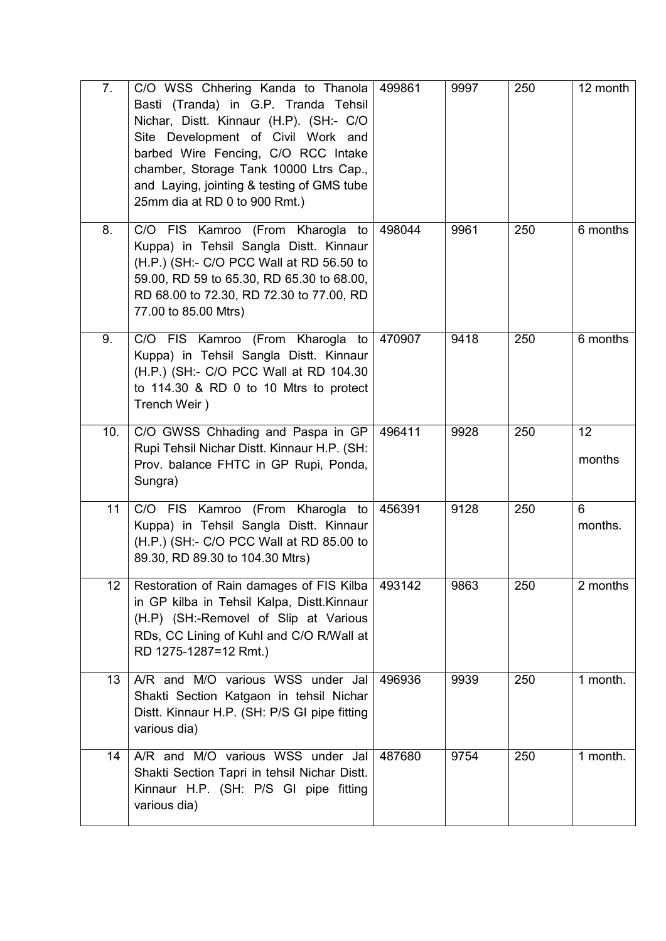| 7.              | C/O WSS Chhering Kanda to Thanola<br>Basti (Tranda) in G.P. Tranda Tehsil<br>Nichar, Distt. Kinnaur (H.P). (SH:- C/O<br>Site Development of Civil Work and<br>barbed Wire Fencing, C/O RCC Intake<br>chamber, Storage Tank 10000 Ltrs Cap.,<br>and Laying, jointing & testing of GMS tube<br>25mm dia at RD 0 to 900 Rmt.) | 499861 | 9997 | 250 | 12 month     |
|-----------------|----------------------------------------------------------------------------------------------------------------------------------------------------------------------------------------------------------------------------------------------------------------------------------------------------------------------------|--------|------|-----|--------------|
| 8.              | C/O FIS Kamroo (From Kharogla to<br>Kuppa) in Tehsil Sangla Distt. Kinnaur<br>(H.P.) (SH:- C/O PCC Wall at RD 56.50 to<br>59.00, RD 59 to 65.30, RD 65.30 to 68.00,<br>RD 68.00 to 72.30, RD 72.30 to 77.00, RD<br>77.00 to 85.00 Mtrs)                                                                                    | 498044 | 9961 | 250 | 6 months     |
| 9.              | C/O FIS Kamroo (From Kharogla to<br>Kuppa) in Tehsil Sangla Distt. Kinnaur<br>(H.P.) (SH:- C/O PCC Wall at RD 104.30<br>to 114.30 & RD 0 to 10 Mtrs to protect<br>Trench Weir)                                                                                                                                             | 470907 | 9418 | 250 | 6 months     |
| 10.             | C/O GWSS Chhading and Paspa in GP<br>Rupi Tehsil Nichar Distt. Kinnaur H.P. (SH:<br>Prov. balance FHTC in GP Rupi, Ponda,<br>Sungra)                                                                                                                                                                                       | 496411 | 9928 | 250 | 12<br>months |
| 11              | C/O FIS Kamroo (From Kharogla to<br>Kuppa) in Tehsil Sangla Distt. Kinnaur<br>(H.P.) (SH:- C/O PCC Wall at RD 85.00 to<br>89.30, RD 89.30 to 104.30 Mtrs)                                                                                                                                                                  | 456391 | 9128 | 250 | 6<br>months. |
| 12 <sup>2</sup> | Restoration of Rain damages of FIS Kilba<br>in GP kilba in Tehsil Kalpa, Distt.Kinnaur<br>(H.P) (SH:-Removel of Slip at Various<br>RDs, CC Lining of Kuhl and C/O R/Wall at<br>RD 1275-1287=12 Rmt.)                                                                                                                       | 493142 | 9863 | 250 | 2 months     |
| 13              | A/R and M/O various WSS under Jal<br>Shakti Section Katgaon in tehsil Nichar<br>Distt. Kinnaur H.P. (SH: P/S GI pipe fitting<br>various dia)                                                                                                                                                                               | 496936 | 9939 | 250 | 1 month.     |
| 14              | A/R and M/O various WSS under Jal<br>Shakti Section Tapri in tehsil Nichar Distt.<br>Kinnaur H.P. (SH: P/S GI pipe fitting<br>various dia)                                                                                                                                                                                 | 487680 | 9754 | 250 | 1 month.     |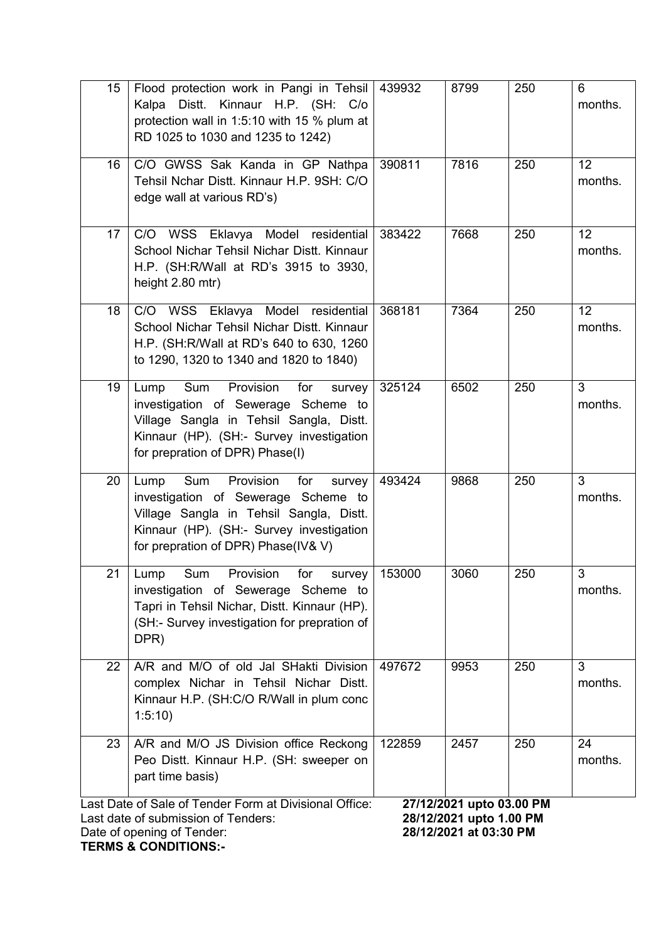| 15                                                                                                                                                                                                                                              | Flood protection work in Pangi in Tehsil<br>Kalpa Distt. Kinnaur H.P. (SH: C/o<br>protection wall in 1:5:10 with 15 % plum at<br>RD 1025 to 1030 and 1235 to 1242)                                          | 439932 | 8799 | 250 | 6<br>months.  |
|-------------------------------------------------------------------------------------------------------------------------------------------------------------------------------------------------------------------------------------------------|-------------------------------------------------------------------------------------------------------------------------------------------------------------------------------------------------------------|--------|------|-----|---------------|
| 16                                                                                                                                                                                                                                              | C/O GWSS Sak Kanda in GP Nathpa<br>Tehsil Nchar Distt. Kinnaur H.P. 9SH: C/O<br>edge wall at various RD's)                                                                                                  | 390811 | 7816 | 250 | 12<br>months. |
| 17                                                                                                                                                                                                                                              | C/O WSS Eklavya Model residential<br>School Nichar Tehsil Nichar Distt. Kinnaur<br>H.P. (SH:R/Wall at RD's 3915 to 3930,<br>height 2.80 mtr)                                                                | 383422 | 7668 | 250 | 12<br>months. |
| 18                                                                                                                                                                                                                                              | C/O WSS Eklavya Model residential<br>School Nichar Tehsil Nichar Distt. Kinnaur<br>H.P. (SH:R/Wall at RD's 640 to 630, 1260<br>to 1290, 1320 to 1340 and 1820 to 1840)                                      | 368181 | 7364 | 250 | 12<br>months. |
| 19                                                                                                                                                                                                                                              | Sum Provision<br>Lump<br>for<br>survey<br>investigation of Sewerage Scheme to<br>Village Sangla in Tehsil Sangla, Distt.<br>Kinnaur (HP). (SH:- Survey investigation<br>for prepration of DPR) Phase(I)     | 325124 | 6502 | 250 | 3<br>months.  |
| 20                                                                                                                                                                                                                                              | Sum Provision<br>Lump<br>for<br>survey<br>investigation of Sewerage Scheme to<br>Village Sangla in Tehsil Sangla, Distt.<br>Kinnaur (HP). (SH:- Survey investigation<br>for prepration of DPR) Phase(IV& V) | 493424 | 9868 | 250 | 3<br>months.  |
| 21                                                                                                                                                                                                                                              | Sum<br>Provision<br>for<br>Lump<br>survey<br>investigation of Sewerage Scheme to<br>Tapri in Tehsil Nichar, Distt. Kinnaur (HP).<br>(SH:- Survey investigation for prepration of<br>DPR)                    | 153000 | 3060 | 250 | 3<br>months.  |
| 22                                                                                                                                                                                                                                              | A/R and M/O of old Jal SHakti Division<br>complex Nichar in Tehsil Nichar Distt.<br>Kinnaur H.P. (SH:C/O R/Wall in plum conc<br>1:5:10                                                                      | 497672 | 9953 | 250 | 3<br>months.  |
| 23                                                                                                                                                                                                                                              | A/R and M/O JS Division office Reckong<br>Peo Distt. Kinnaur H.P. (SH: sweeper on<br>part time basis)                                                                                                       | 122859 | 2457 | 250 | 24<br>months. |
| Last Date of Sale of Tender Form at Divisional Office:<br>27/12/2021 upto 03.00 PM<br>28/12/2021 upto 1.00 PM<br>Last date of submission of Tenders:<br>28/12/2021 at 03:30 PM<br>Date of opening of Tender:<br><b>TERMS &amp; CONDITIONS:-</b> |                                                                                                                                                                                                             |        |      |     |               |